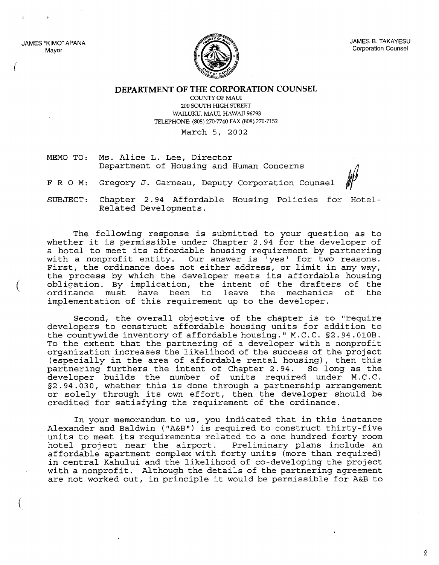JAMES "KIMO" APANA Mayor

(

(

(



**DEPARTMENT OF THE CORPORATION COUNSEL**

COUNTY OF MAUl 200 SOUTH HIGH STREET WAILUKU, MAUl, HAWAII 96793 TELEPHONE: (808) 270-7740 FAX (808) 270-7152

March 5, 2002

MEMO TO: Ms. Alice L. Lee, Director Department of Housing and Human Concerns

FRO M: Gregory J. Garneau, Deputy Corporation Counsel

SUBJECT: Chapter 2.94 Affordable Housing Policies for Hotel-Related Developments.

The following response is submitted to your question as to whether it is permissible under Chapter 2.94 for the developer of <sup>a</sup> hotel to meet its affordable housing requirement by partnering with <sup>a</sup> nonprofit entity. Our answer is 'yes' for two reasons. First, the ordinance does not either address, or limit in any way, the process by which the developer meets its affordable housing obligation. By implication, the intent of the drafters of the ordinance must have been to leave the mechanics of the must have been to leave the mechanics implementation of this requirement up to the developer.

Second, the overall objective of the chapter is to "require developers to construct affordable housing units for addition to the countywide inventory of affordable housing." M. C. C. §2. 94. OIOB. To the extent that the partnering of a developer with a nonprofit organization increases the likelihood of the success of the project (especially in the area of affordable rental housing), then this partnering furthers the intent of Chapter 2.94. So long as the developer builds the number of units required under M.C.C. §2.94.030, whether this is done through <sup>a</sup> partnership arrangement or solely through its own effort, then the developer should be credited for satisfying the requirement of the ordinance.

In your memorandum to us, you indicated that in this instance Alexander and Baldwin ("A&B") is required to construct thirty-five units to meet its requirements related to <sup>a</sup> one hundred forty room hotel project near the airport. Preliminary plans include an affordable apartment complex with forty units (more than required) in central Kahului and the likelihood of co-developing the project with <sup>a</sup> nonprofit. Although the details of the partnering agreement are not worked out, in principle it would be permissible for A&B to

q